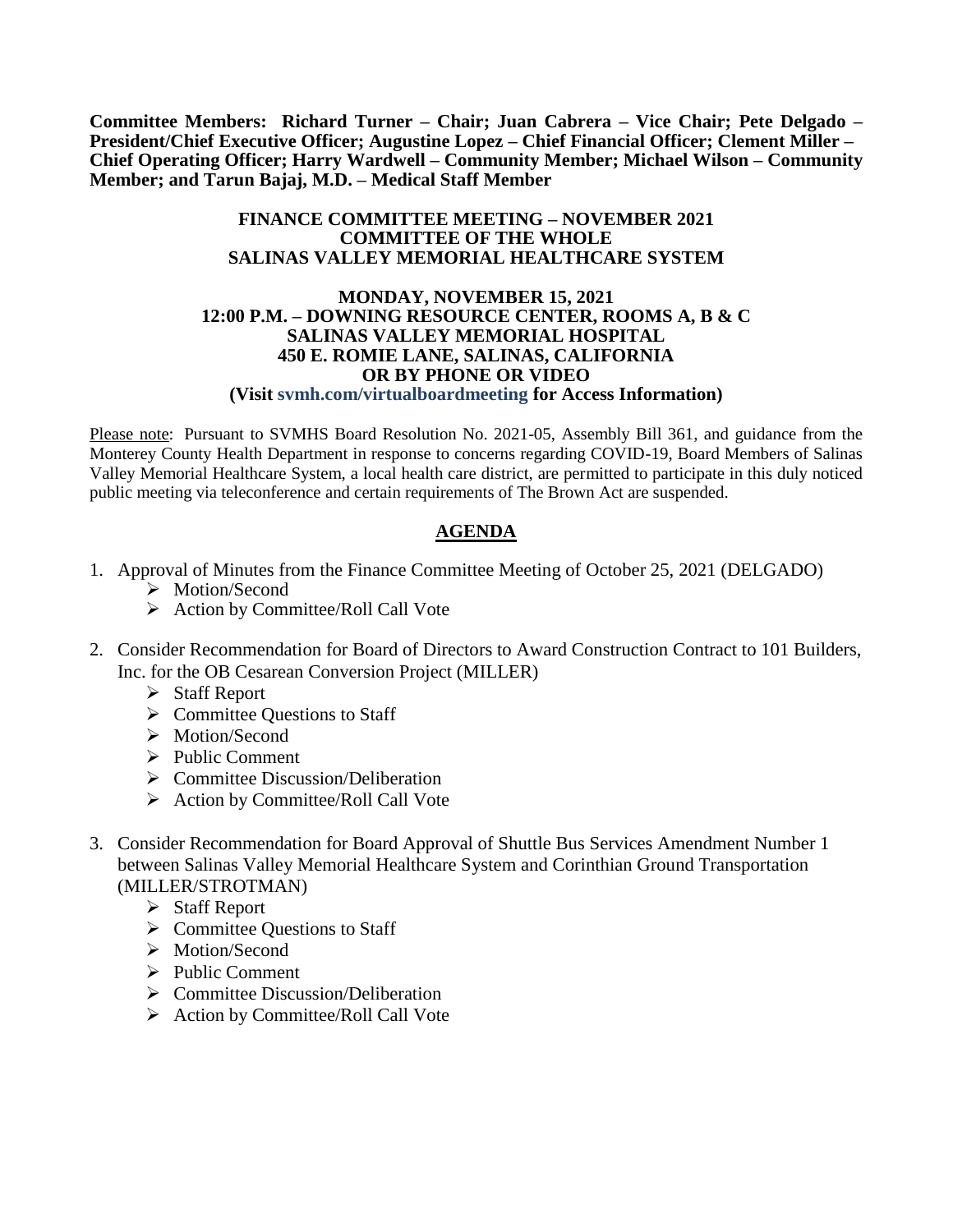**Committee Members: Richard Turner – Chair; Juan Cabrera – Vice Chair; Pete Delgado – President/Chief Executive Officer; Augustine Lopez – Chief Financial Officer; Clement Miller – Chief Operating Officer; Harry Wardwell – Community Member; Michael Wilson – Community Member; and Tarun Bajaj, M.D. – Medical Staff Member**

## **FINANCE COMMITTEE MEETING – NOVEMBER 2021 COMMITTEE OF THE WHOLE SALINAS VALLEY MEMORIAL HEALTHCARE SYSTEM**

## **MONDAY, NOVEMBER 15, 2021 12:00 P.M. – DOWNING RESOURCE CENTER, ROOMS A, B & C SALINAS VALLEY MEMORIAL HOSPITAL 450 E. ROMIE LANE, SALINAS, CALIFORNIA OR BY PHONE OR VIDEO (Visit svmh.com/virtualboardmeeting for Access Information)**

Please note: Pursuant to SVMHS Board Resolution No. 2021-05, Assembly Bill 361, and guidance from the Monterey County Health Department in response to concerns regarding COVID-19, Board Members of Salinas Valley Memorial Healthcare System, a local health care district, are permitted to participate in this duly noticed public meeting via teleconference and certain requirements of The Brown Act are suspended.

## **AGENDA**

- 1. Approval of Minutes from the Finance Committee Meeting of October 25, 2021 (DELGADO)
	- > Motion/Second
	- $\triangleright$  Action by Committee/Roll Call Vote
- 2. Consider Recommendation for Board of Directors to Award Construction Contract to 101 Builders, Inc. for the OB Cesarean Conversion Project (MILLER)
	- $\triangleright$  Staff Report
	- $\triangleright$  Committee Questions to Staff
	- > Motion/Second
	- $\triangleright$  Public Comment
	- $\triangleright$  Committee Discussion/Deliberation
	- $\triangleright$  Action by Committee/Roll Call Vote
- 3. Consider Recommendation for Board Approval of Shuttle Bus Services Amendment Number 1 between Salinas Valley Memorial Healthcare System and Corinthian Ground Transportation (MILLER/STROTMAN)
	- Staff Report
	- $\triangleright$  Committee Questions to Staff
	- > Motion/Second
	- $\triangleright$  Public Comment
	- $\triangleright$  Committee Discussion/Deliberation
	- $\triangleright$  Action by Committee/Roll Call Vote